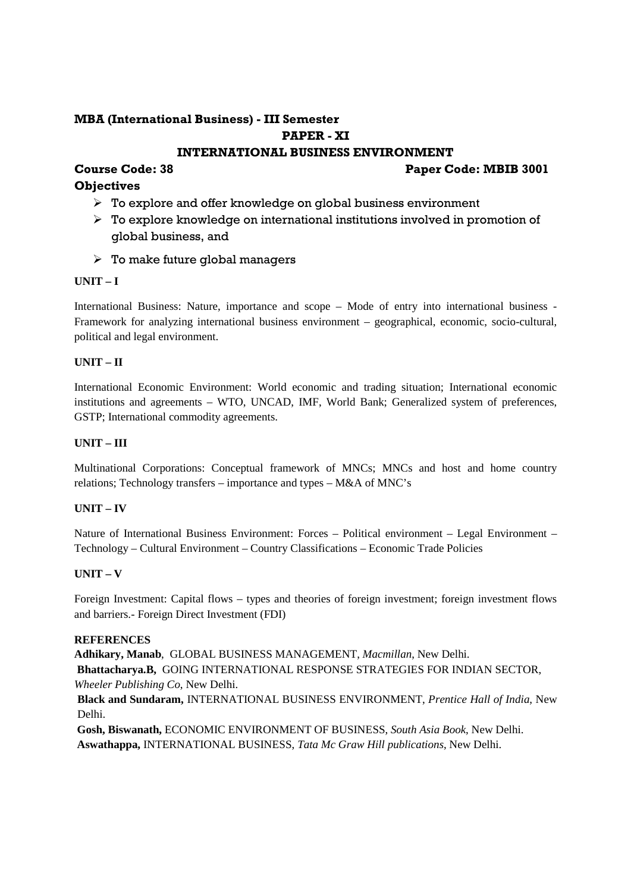# **MBA (International Business) - III Semester PAPER - XI INTERNATIONAL BUSINESS ENVIRONMENT**

# **Objectives**

# **Course Code: 38 Paper Code: MBIB 3001**

- $\triangleright$  To explore and offer knowledge on global business environment
- $\triangleright$  To explore knowledge on international institutions involved in promotion of global business, and
- $\triangleright$  To make future global managers

# **UNIT – I**

International Business: Nature, importance and scope – Mode of entry into international business - Framework for analyzing international business environment – geographical, economic, socio-cultural, political and legal environment.

# **UNIT – II**

International Economic Environment: World economic and trading situation; International economic institutions and agreements – WTO, UNCAD, IMF, World Bank; Generalized system of preferences, GSTP; International commodity agreements.

#### **UNIT – III**

Multinational Corporations: Conceptual framework of MNCs; MNCs and host and home country relations; Technology transfers – importance and types – M&A of MNC's

#### **UNIT – IV**

Nature of International Business Environment: Forces – Political environment – Legal Environment – Technology – Cultural Environment – Country Classifications – Economic Trade Policies

#### **UNIT – V**

Foreign Investment: Capital flows – types and theories of foreign investment; foreign investment flows and barriers.- Foreign Direct Investment (FDI)

#### **REFERENCES**

**Adhikary, Manab**, GLOBAL BUSINESS MANAGEMENT, *Macmillan*, New Delhi. **Bhattacharya.B,** GOING INTERNATIONAL RESPONSE STRATEGIES FOR INDIAN SECTOR, *Wheeler Publishing Co*, New Delhi. **Black and Sundaram,** INTERNATIONAL BUSINESS ENVIRONMENT, *Prentice Hall of India*, New

Delhi.

**Gosh, Biswanath,** ECONOMIC ENVIRONMENT OF BUSINESS, *South Asia Book*, New Delhi. **Aswathappa,** INTERNATIONAL BUSINESS, *Tata Mc Graw Hill publications*, New Delhi.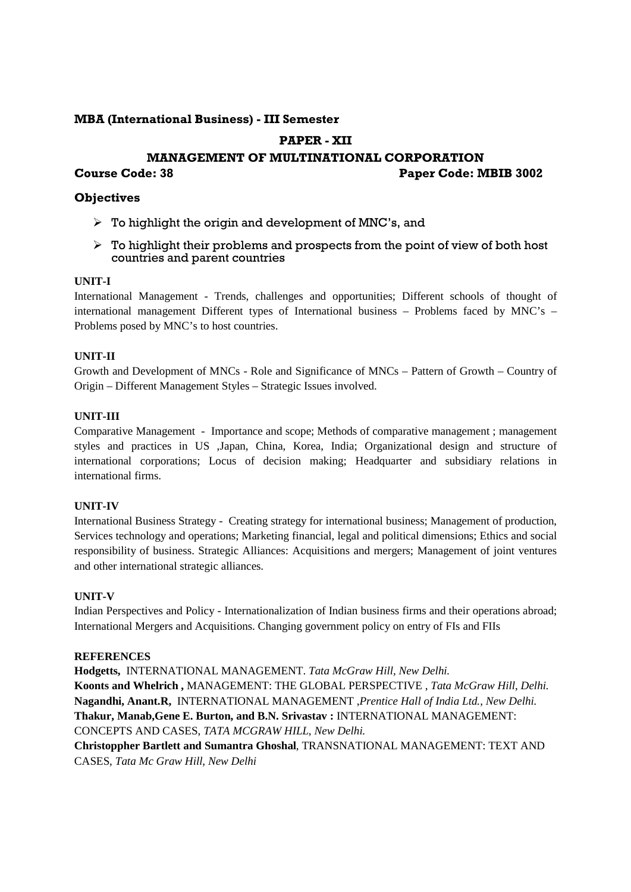#### **MBA (International Business) - III Semester**

#### **PAPER - XII**

# **MANAGEMENT OF MULTINATIONAL CORPORATION**

# **Course Code: 38 Paper Code: MBIB 3002**

#### **Objectives**

- $\triangleright$  To highlight the origin and development of MNC's, and
- $\triangleright$  To highlight their problems and prospects from the point of view of both host countries and parent countries

#### **UNIT-I**

International Management - Trends, challenges and opportunities; Different schools of thought of international management Different types of International business – Problems faced by MNC's – Problems posed by MNC's to host countries.

#### **UNIT-II**

Growth and Development of MNCs - Role and Significance of MNCs – Pattern of Growth – Country of Origin – Different Management Styles – Strategic Issues involved.

#### **UNIT-III**

Comparative Management - Importance and scope; Methods of comparative management ; management styles and practices in US ,Japan, China, Korea, India; Organizational design and structure of international corporations; Locus of decision making; Headquarter and subsidiary relations in international firms.

#### **UNIT-IV**

International Business Strategy - Creating strategy for international business; Management of production, Services technology and operations; Marketing financial, legal and political dimensions; Ethics and social responsibility of business. Strategic Alliances: Acquisitions and mergers; Management of joint ventures and other international strategic alliances.

#### **UNIT-V**

Indian Perspectives and Policy - Internationalization of Indian business firms and their operations abroad; International Mergers and Acquisitions. Changing government policy on entry of FIs and FIIs

#### **REFERENCES**

**Hodgetts,** INTERNATIONAL MANAGEMENT. *Tata McGraw Hill*, *New Delhi.* **Koonts and Whelrich ,** MANAGEMENT: THE GLOBAL PERSPECTIVE , *Tata McGraw Hill*, *Delhi.* **Nagandhi, Anant.R,** INTERNATIONAL MANAGEMENT ,*Prentice Hall of India Ltd., New Delhi.* **Thakur, Manab,Gene E. Burton, and B.N. Srivastav :** INTERNATIONAL MANAGEMENT: CONCEPTS AND CASES, *TATA MCGRAW HILL*, *New Delhi.*

**Christoppher Bartlett and Sumantra Ghoshal**, TRANSNATIONAL MANAGEMENT: TEXT AND CASES, *Tata Mc Graw Hill*, *New Delhi*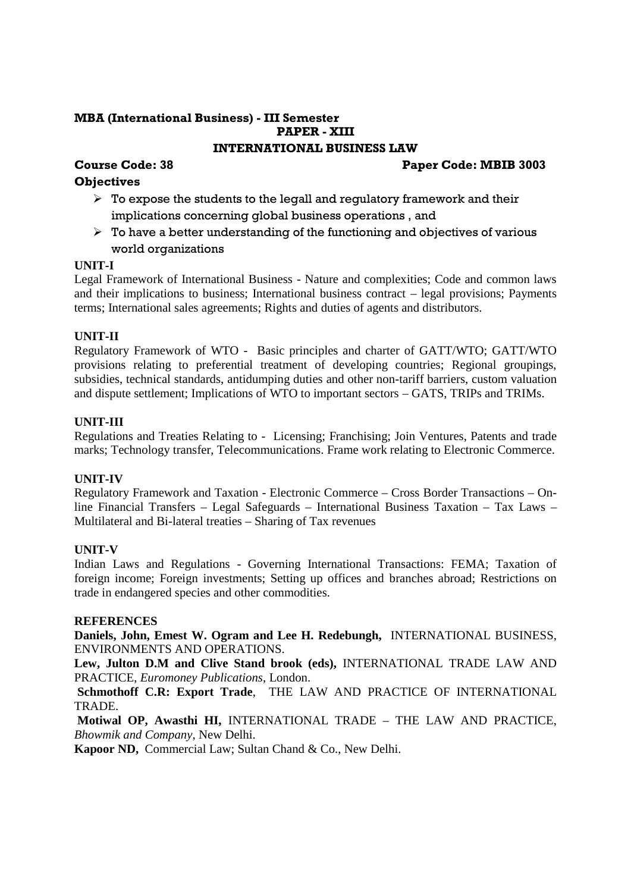#### **MBA (International Business) - III Semester PAPER - XIII INTERNATIONAL BUSINESS LAW**

# **Objectives**

- $\triangleright$  To expose the students to the legall and regulatory framework and their implications concerning global business operations , and
- $\triangleright$  To have a better understanding of the functioning and objectives of various world organizations

# **UNIT-I**

Legal Framework of International Business - Nature and complexities; Code and common laws and their implications to business; International business contract – legal provisions; Payments terms; International sales agreements; Rights and duties of agents and distributors.

# **UNIT-II**

Regulatory Framework of WTO - Basic principles and charter of GATT/WTO; GATT/WTO provisions relating to preferential treatment of developing countries; Regional groupings, subsidies, technical standards, antidumping duties and other non-tariff barriers, custom valuation and dispute settlement; Implications of WTO to important sectors – GATS, TRIPs and TRIMs.

# **UNIT-III**

Regulations and Treaties Relating to - Licensing; Franchising; Join Ventures, Patents and trade marks; Technology transfer, Telecommunications. Frame work relating to Electronic Commerce.

#### **UNIT-IV**

Regulatory Framework and Taxation - Electronic Commerce – Cross Border Transactions – Online Financial Transfers – Legal Safeguards – International Business Taxation – Tax Laws – Multilateral and Bi-lateral treaties – Sharing of Tax revenues

#### **UNIT-V**

Indian Laws and Regulations - Governing International Transactions: FEMA; Taxation of foreign income; Foreign investments; Setting up offices and branches abroad; Restrictions on trade in endangered species and other commodities.

#### **REFERENCES**

**Daniels, John, Emest W. Ogram and Lee H. Redebungh,** INTERNATIONAL BUSINESS, ENVIRONMENTS AND OPERATIONS.

**Lew, Julton D.M and Clive Stand brook (eds),** INTERNATIONAL TRADE LAW AND PRACTICE, *Euromoney Publications*, London.

**Schmothoff C.R: Export Trade**, THE LAW AND PRACTICE OF INTERNATIONAL **TRADE** 

**Motiwal OP, Awasthi HI,** INTERNATIONAL TRADE – THE LAW AND PRACTICE, *Bhowmik and Company,* New Delhi.

**Kapoor ND,** Commercial Law; Sultan Chand & Co., New Delhi.

# **Course Code: 38 Paper Code: MBIB 3003**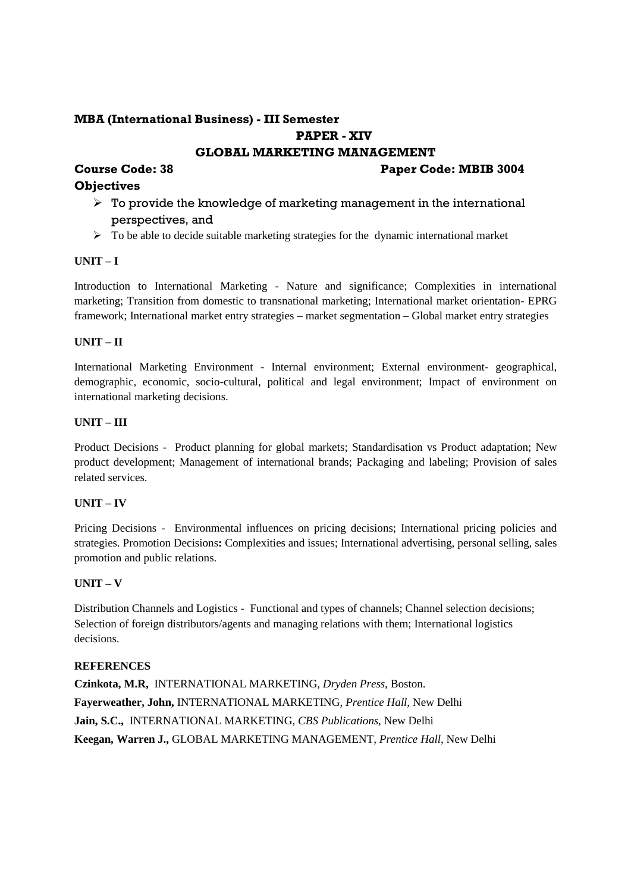# **MBA (International Business) - III Semester PAPER - XIV GLOBAL MARKETING MANAGEMENT**

# **Objectives**

# **Course Code: 38 Paper Code: MBIB 3004**

- $\triangleright$  To provide the knowledge of marketing management in the international perspectives, and
- $\triangleright$  To be able to decide suitable marketing strategies for the dynamic international market

# **UNIT – I**

Introduction to International Marketing - Nature and significance; Complexities in international marketing; Transition from domestic to transnational marketing; International market orientation- EPRG framework; International market entry strategies – market segmentation – Global market entry strategies

# **UNIT – II**

International Marketing Environment - Internal environment; External environment- geographical, demographic, economic, socio-cultural, political and legal environment; Impact of environment on international marketing decisions.

#### **UNIT – III**

Product Decisions - Product planning for global markets; Standardisation vs Product adaptation; New product development; Management of international brands; Packaging and labeling; Provision of sales related services.

#### **UNIT – IV**

Pricing Decisions - Environmental influences on pricing decisions; International pricing policies and strategies. Promotion Decisions**:** Complexities and issues; International advertising, personal selling, sales promotion and public relations.

# **UNIT – V**

Distribution Channels and Logistics - Functional and types of channels; Channel selection decisions; Selection of foreign distributors/agents and managing relations with them; International logistics decisions.

#### **REFERENCES**

**Czinkota, M.R,** INTERNATIONAL MARKETING, *Dryden Press*, Boston. **Fayerweather, John,** INTERNATIONAL MARKETING, *Prentice Hall*, New Delhi **Jain, S.C.,** INTERNATIONAL MARKETING, *CBS Publications*, New Delhi **Keegan, Warren J.,** GLOBAL MARKETING MANAGEMENT, *Prentice Hall*, New Delhi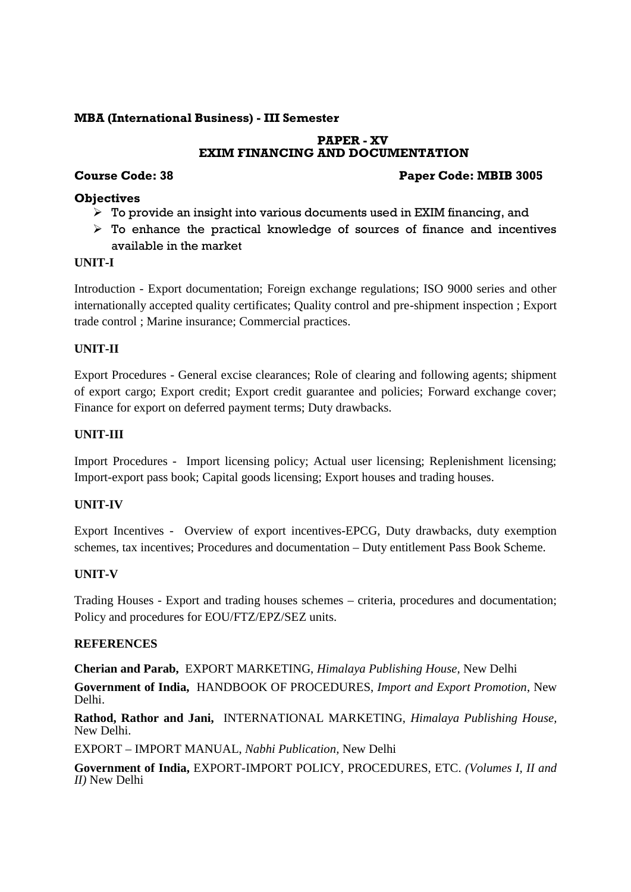#### **MBA (International Business) - III Semester**

#### **PAPER - XV EXIM FINANCING AND DOCUMENTATION**

# **Course Code: 38 Paper Code: MBIB 3005**

# **Objectives**

- $\triangleright$  To provide an insight into various documents used in EXIM financing, and
- $\triangleright$  To enhance the practical knowledge of sources of finance and incentives available in the market

# **UNIT-I**

Introduction - Export documentation; Foreign exchange regulations; ISO 9000 series and other internationally accepted quality certificates; Quality control and pre-shipment inspection ; Export trade control ; Marine insurance; Commercial practices.

# **UNIT-II**

Export Procedures - General excise clearances; Role of clearing and following agents; shipment of export cargo; Export credit; Export credit guarantee and policies; Forward exchange cover; Finance for export on deferred payment terms; Duty drawbacks.

# **UNIT-III**

Import Procedures - Import licensing policy; Actual user licensing; Replenishment licensing; Import-export pass book; Capital goods licensing; Export houses and trading houses.

# **UNIT-IV**

Export Incentives - Overview of export incentives-EPCG, Duty drawbacks, duty exemption schemes, tax incentives; Procedures and documentation – Duty entitlement Pass Book Scheme.

#### **UNIT-V**

Trading Houses - Export and trading houses schemes – criteria, procedures and documentation; Policy and procedures for EOU/FTZ/EPZ/SEZ units.

#### **REFERENCES**

**Cherian and Parab,** EXPORT MARKETING, *Himalaya Publishing House,* New Delhi

**Government of India,** HANDBOOK OF PROCEDURES, *Import and Export Promotion*, New Delhi.

**Rathod, Rathor and Jani,** INTERNATIONAL MARKETING, *Himalaya Publishing House,* New Delhi.

EXPORT – IMPORT MANUAL, *Nabhi Publication,* New Delhi

**Government of India,** EXPORT-IMPORT POLICY, PROCEDURES, ETC. *(Volumes I, II and II)* New Delhi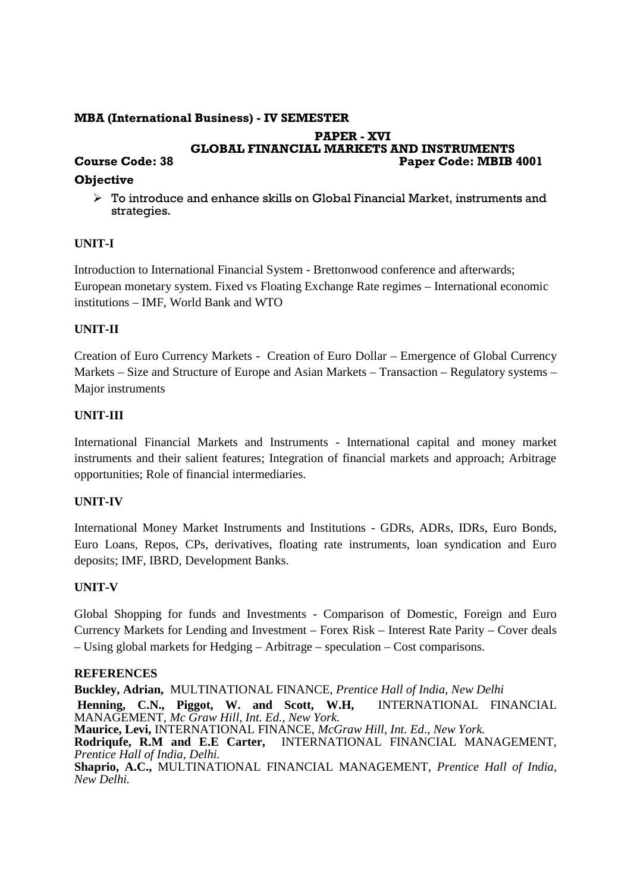#### **MBA (International Business) - IV SEMESTER**

#### **PAPER - XVI GLOBAL FINANCIAL MARKETS AND INSTRUMENTS Course Code: 38 Paper Code: MBIB 4001**

# **Objective**

 $\triangleright$  To introduce and enhance skills on Global Financial Market, instruments and strategies.

# **UNIT-I**

Introduction to International Financial System - Brettonwood conference and afterwards; European monetary system. Fixed vs Floating Exchange Rate regimes – International economic institutions – IMF, World Bank and WTO

#### **UNIT-II**

Creation of Euro Currency Markets - Creation of Euro Dollar – Emergence of Global Currency Markets – Size and Structure of Europe and Asian Markets – Transaction – Regulatory systems – Major instruments

#### **UNIT-III**

International Financial Markets and Instruments - International capital and money market instruments and their salient features; Integration of financial markets and approach; Arbitrage opportunities; Role of financial intermediaries.

#### **UNIT-IV**

International Money Market Instruments and Institutions - GDRs, ADRs, IDRs, Euro Bonds, Euro Loans, Repos, CPs, derivatives, floating rate instruments, loan syndication and Euro deposits; IMF, IBRD, Development Banks.

#### **UNIT-V**

Global Shopping for funds and Investments - Comparison of Domestic, Foreign and Euro Currency Markets for Lending and Investment – Forex Risk – Interest Rate Parity – Cover deals – Using global markets for Hedging – Arbitrage – speculation – Cost comparisons.

#### **REFERENCES**

**Buckley, Adrian,** MULTINATIONAL FINANCE, *Prentice Hall of India*, *New Delhi* **Henning, C.N., Piggot, W. and Scott, W.H,** INTERNATIONAL FINANCIAL MANAGEMENT, *Mc Graw Hill, Int. Ed., New York.* **Maurice, Levi,** INTERNATIONAL FINANCE, *McGraw Hill, Int. Ed*., *New York.* **Rodriqufe, R.M and E.E Carter,** INTERNATIONAL FINANCIAL MANAGEMENT, *Prentice Hall of India, Delhi.* **Shaprio, A.C.,** MULTINATIONAL FINANCIAL MANAGEMENT, *Prentice Hall of India*, *New Delhi.*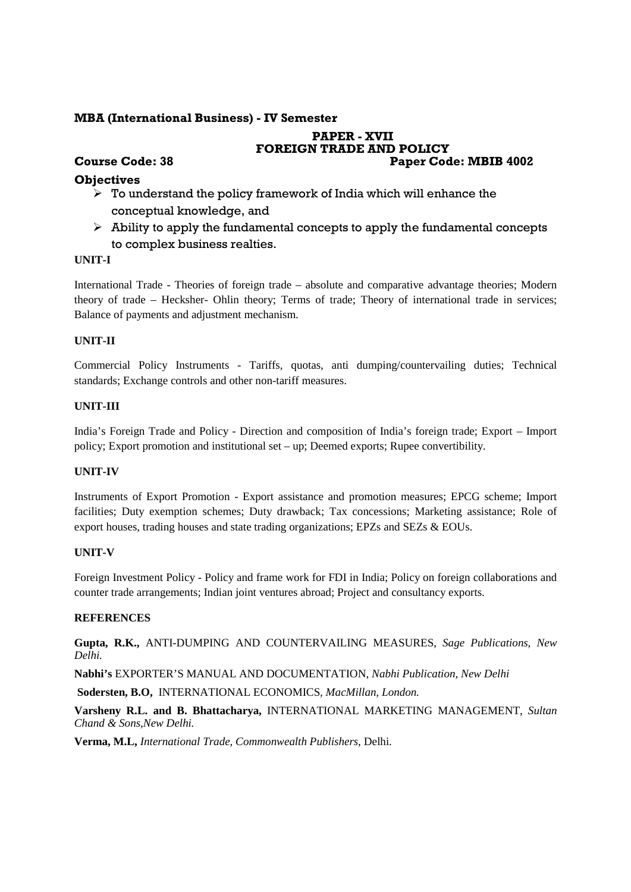#### **MBA (International Business) - IV Semester**

#### **PAPER - XVII FOREIGN TRADE AND POLICY Course Code: 38 Paper Code: MBIB 4002**

# **Objectives**

- $\triangleright$  To understand the policy framework of India which will enhance the conceptual knowledge, and
- $\triangleright$  Ability to apply the fundamental concepts to apply the fundamental concepts to complex business realties.

#### **UNIT-I**

International Trade - Theories of foreign trade – absolute and comparative advantage theories; Modern theory of trade – Hecksher- Ohlin theory; Terms of trade; Theory of international trade in services; Balance of payments and adjustment mechanism.

#### **UNIT-II**

Commercial Policy Instruments - Tariffs, quotas, anti dumping/countervailing duties; Technical standards; Exchange controls and other non-tariff measures.

#### **UNIT-III**

India's Foreign Trade and Policy - Direction and composition of India's foreign trade; Export – Import policy; Export promotion and institutional set – up; Deemed exports; Rupee convertibility.

#### **UNIT-IV**

Instruments of Export Promotion - Export assistance and promotion measures; EPCG scheme; Import facilities; Duty exemption schemes; Duty drawback; Tax concessions; Marketing assistance; Role of export houses, trading houses and state trading organizations; EPZs and SEZs & EOUs.

#### **UNIT-V**

Foreign Investment Policy - Policy and frame work for FDI in India; Policy on foreign collaborations and counter trade arrangements; Indian joint ventures abroad; Project and consultancy exports.

#### **REFERENCES**

**Gupta, R.K.,** ANTI-DUMPING AND COUNTERVAILING MEASURES, *Sage Publications*, *New Delhi.*

**Nabhi's** EXPORTER'S MANUAL AND DOCUMENTATION, *Nabhi Publication, New Delhi*

**Sodersten, B.O,** INTERNATIONAL ECONOMICS*, MacMillan, London.*

**Varsheny R.L. and B. Bhattacharya,** INTERNATIONAL MARKETING MANAGEMENT, *Sultan Chand & Sons*,*New Delhi.*

**Verma, M.L,** *International Trade, Commonwealth Publishers*, Delhi.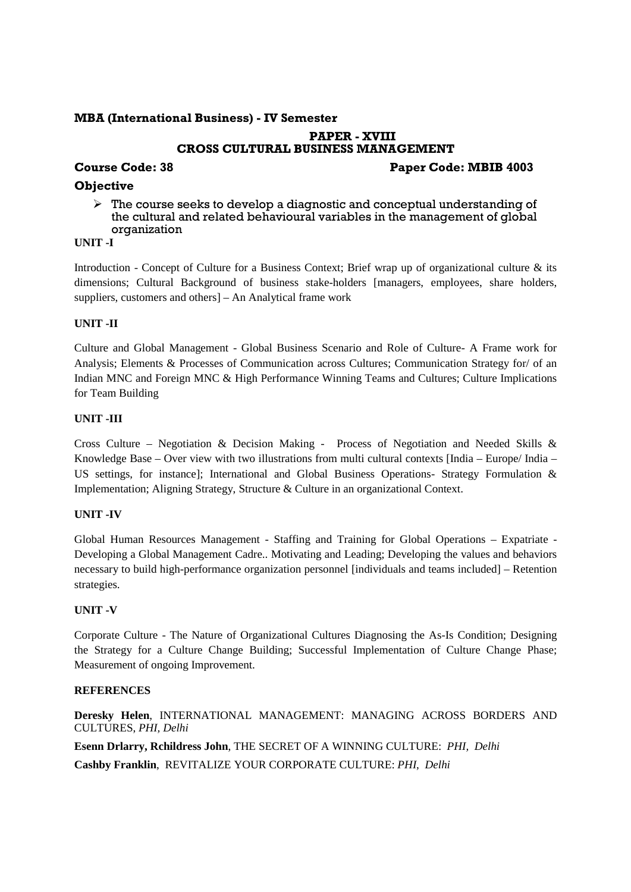#### **MBA (International Business) - IV Semester**

# **PAPER - XVIII CROSS CULTURAL BUSINESS MANAGEMENT**

#### **Course Code: 38 Paper Code: MBIB 4003**

#### **Objective**

 $\triangleright$  The course seeks to develop a diagnostic and conceptual understanding of the cultural and related behavioural variables in the management of global organization

#### **UNIT -I**

Introduction - Concept of Culture for a Business Context; Brief wrap up of organizational culture & its dimensions; Cultural Background of business stake-holders [managers, employees, share holders, suppliers, customers and others] – An Analytical frame work

#### **UNIT -II**

Culture and Global Management - Global Business Scenario and Role of Culture- A Frame work for Analysis; Elements & Processes of Communication across Cultures; Communication Strategy for/ of an Indian MNC and Foreign MNC & High Performance Winning Teams and Cultures; Culture Implications for Team Building

#### **UNIT -III**

Cross Culture – Negotiation & Decision Making - Process of Negotiation and Needed Skills & Knowledge Base – Over view with two illustrations from multi cultural contexts [India – Europe/ India – US settings, for instance]; International and Global Business Operations- Strategy Formulation & Implementation; Aligning Strategy, Structure & Culture in an organizational Context.

#### **UNIT -IV**

Global Human Resources Management - Staffing and Training for Global Operations – Expatriate -Developing a Global Management Cadre.. Motivating and Leading; Developing the values and behaviors necessary to build high-performance organization personnel [individuals and teams included] – Retention strategies.

#### **UNIT -V**

Corporate Culture - The Nature of Organizational Cultures Diagnosing the As-Is Condition; Designing the Strategy for a Culture Change Building; Successful Implementation of Culture Change Phase; Measurement of ongoing Improvement.

#### **REFERENCES**

**Deresky Helen**, INTERNATIONAL MANAGEMENT: MANAGING ACROSS BORDERS AND CULTURES, *PHI, Delhi* **Esenn Drlarry, Rchildress John**, THE SECRET OF A WINNING CULTURE: *PHI, Delhi* **Cashby Franklin**, REVITALIZE YOUR CORPORATE CULTURE: *PHI*, *Delhi*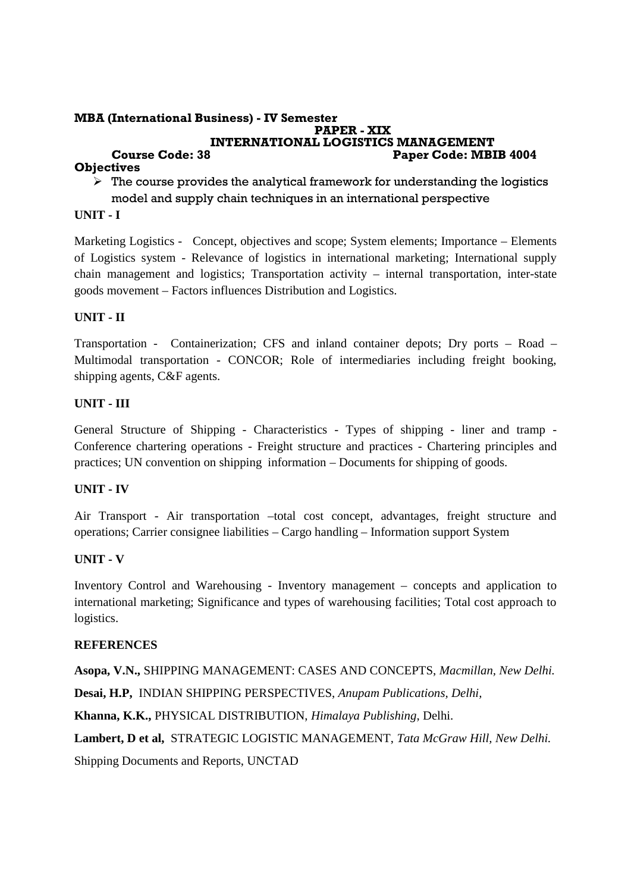# **MBA (International Business) - IV Semester**

#### **PAPER - XIX INTERNATIONAL LOGISTICS MANAGEMENT<br>Paper Code: MBI Paper Code: MBIB 4004**

# **Objectives**

 $\triangleright$  The course provides the analytical framework for understanding the logistics model and supply chain techniques in an international perspective

# **UNIT - I**

Marketing Logistics - Concept, objectives and scope; System elements; Importance – Elements of Logistics system - Relevance of logistics in international marketing; International supply chain management and logistics; Transportation activity – internal transportation, inter-state goods movement – Factors influences Distribution and Logistics.

# **UNIT - II**

Transportation - Containerization; CFS and inland container depots; Dry ports – Road – Multimodal transportation - CONCOR; Role of intermediaries including freight booking, shipping agents, C&F agents.

# **UNIT - III**

General Structure of Shipping - Characteristics - Types of shipping - liner and tramp - Conference chartering operations - Freight structure and practices - Chartering principles and practices; UN convention on shipping information – Documents for shipping of goods.

#### **UNIT - IV**

Air Transport - Air transportation –total cost concept, advantages, freight structure and operations; Carrier consignee liabilities – Cargo handling – Information support System

# **UNIT - V**

Inventory Control and Warehousing - Inventory management – concepts and application to international marketing; Significance and types of warehousing facilities; Total cost approach to logistics.

#### **REFERENCES**

**Asopa, V.N.,** SHIPPING MANAGEMENT: CASES AND CONCEPTS, *Macmillan, New Delhi.*

**Desai, H.P,** INDIAN SHIPPING PERSPECTIVES, *Anupam Publications, Delhi,*

**Khanna, K.K.,** PHYSICAL DISTRIBUTION, *Himalaya Publishing*, Delhi.

**Lambert, D et al,** STRATEGIC LOGISTIC MANAGEMENT, *Tata McGraw Hill, New Delhi.*

Shipping Documents and Reports, UNCTAD